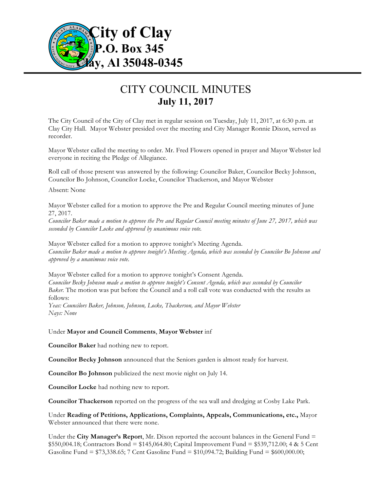

## CITY COUNCIL MINUTES **July 11, 2017**

The City Council of the City of Clay met in regular session on Tuesday, July 11, 2017, at 6:30 p.m. at Clay City Hall. Mayor Webster presided over the meeting and City Manager Ronnie Dixon, served as recorder.

Mayor Webster called the meeting to order. Mr. Fred Flowers opened in prayer and Mayor Webster led everyone in reciting the Pledge of Allegiance.

Roll call of those present was answered by the following: Councilor Baker, Councilor Becky Johnson, Councilor Bo Johnson, Councilor Locke, Councilor Thackerson, and Mayor Webster

Absent: None

Mayor Webster called for a motion to approve the Pre and Regular Council meeting minutes of June 27, 2017.

*Councilor Baker made a motion to approve the Pre and Regular Council meeting minutes of June 27, 2017, which was seconded by Councilor Locke and approved by unanimous voice vote.*

Mayor Webster called for a motion to approve tonight's Meeting Agenda. *Councilor Baker made a motion to approve tonight's Meeting Agenda, which was seconded by Councilor Bo Johnson and approved by a unanimous voice vote.*

Mayor Webster called for a motion to approve tonight's Consent Agenda. *Councilor Becky Johnson made a motion to approve tonight's Consent Agenda, which was seconded by Councilor Baker.* The motion was put before the Council and a roll call vote was conducted with the results as follows:

*Yeas: Councilors Baker, Johnson, Johnson, Locke, Thackerson, and Mayor Webster Nays: None*

Under **Mayor and Council Comments**, **Mayor Webster** inf

**Councilor Baker** had nothing new to report.

**Councilor Becky Johnson** announced that the Seniors garden is almost ready for harvest.

**Councilor Bo Johnson** publicized the next movie night on July 14.

**Councilor Locke** had nothing new to report.

**Councilor Thackerson** reported on the progress of the sea wall and dredging at Cosby Lake Park.

Under **Reading of Petitions, Applications, Complaints, Appeals, Communications, etc.,** Mayor Webster announced that there were none.

Under the **City Manager's Report**, Mr. Dixon reported the account balances in the General Fund = \$550,004.18; Contractors Bond = \$145,064.80; Capital Improvement Fund = \$539,712.00; 4 & 5 Cent Gasoline Fund = \$73,338.65; 7 Cent Gasoline Fund = \$10,094.72; Building Fund = \$600,000.00;